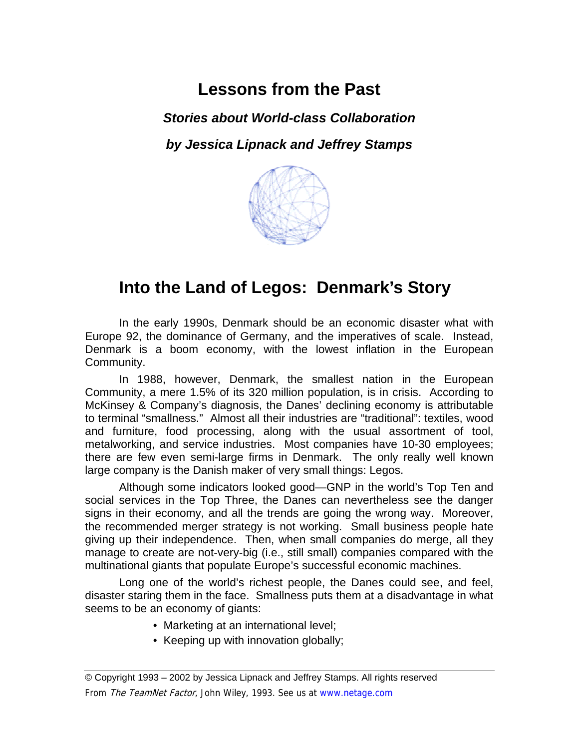# **Lessons from the Past**

*Stories about World-class Collaboration* 

*by Jessica Lipnack and Jeffrey Stamps* 



# **Into the Land of Legos: Denmark's Story**

In the early 1990s, Denmark should be an economic disaster what with Europe 92, the dominance of Germany, and the imperatives of scale. Instead, Denmark is a boom economy, with the lowest inflation in the European Community.

In 1988, however, Denmark, the smallest nation in the European Community, a mere 1.5% of its 320 million population, is in crisis. According to McKinsey & Company's diagnosis, the Danes' declining economy is attributable to terminal "smallness." Almost all their industries are "traditional": textiles, wood and furniture, food processing, along with the usual assortment of tool, metalworking, and service industries. Most companies have 10-30 employees; there are few even semi-large firms in Denmark. The only really well known large company is the Danish maker of very small things: Legos.

Although some indicators looked good—GNP in the world's Top Ten and social services in the Top Three, the Danes can nevertheless see the danger signs in their economy, and all the trends are going the wrong way. Moreover, the recommended merger strategy is not working. Small business people hate giving up their independence. Then, when small companies do merge, all they manage to create are not-very-big (i.e., still small) companies compared with the multinational giants that populate Europe's successful economic machines.

Long one of the world's richest people, the Danes could see, and feel, disaster staring them in the face. Smallness puts them at a disadvantage in what seems to be an economy of giants:

- Marketing at an international level;
- Keeping up with innovation globally;

<sup>©</sup> Copyright 1993 – 2002 by Jessica Lipnack and Jeffrey Stamps. All rights reserved From The TeamNet Factor, John Wiley, 1993. See us at www.netage.com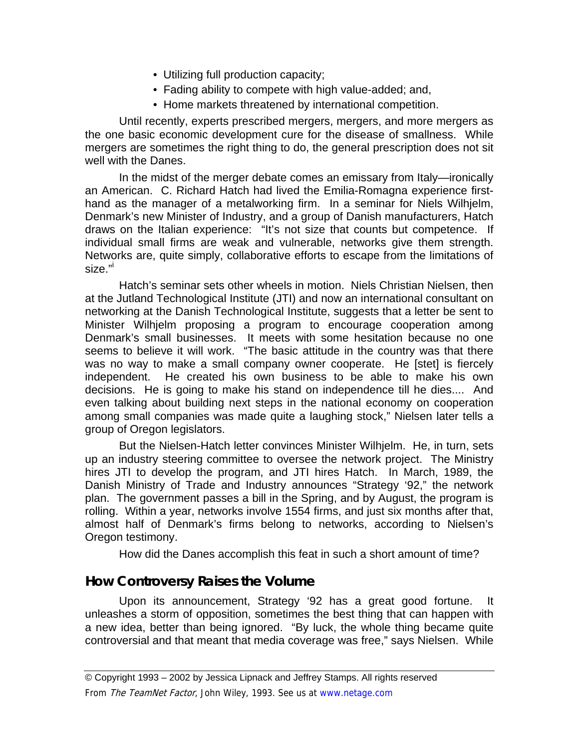- Utilizing full production capacity;
- Fading ability to compete with high value-added; and,
- Home markets threatened by international competition.

Until recently, experts prescribed mergers, mergers, and more mergers as the one basic economic development cure for the disease of smallness. While mergers are sometimes the right thing to do, the general prescription does not sit well with the Danes.

In the midst of the merger debate comes an emissary from Italy—ironically an American. C. Richard Hatch had lived the Emilia-Romagna experience firsthand as the manager of a metalworking firm. In a seminar for Niels Wilhjelm, Denmark's new Minister of Industry, and a group of Danish manufacturers, Hatch draws on the Italian experience: "It's not size that counts but competence. If individual small firms are weak and vulnerable, networks give them strength. Networks are, quite simply, collaborative efforts to escape from the limitations of size."[i](#page-7-0)

Hatch's seminar sets other wheels in motion. Niels Christian Nielsen, then at the Jutland Technological Institute (JTI) and now an international consultant on networking at the Danish Technological Institute, suggests that a letter be sent to Minister Wilhjelm proposing a program to encourage cooperation among Denmark's small businesses. It meets with some hesitation because no one seems to believe it will work. "The basic attitude in the country was that there was no way to make a small company owner cooperate. He [stet] is fiercely independent. He created his own business to be able to make his own decisions. He is going to make his stand on independence till he dies.... And even talking about building next steps in the national economy on cooperation among small companies was made quite a laughing stock," Nielsen later tells a group of Oregon legislators.

But the Nielsen-Hatch letter convinces Minister Wilhjelm. He, in turn, sets up an industry steering committee to oversee the network project. The Ministry hires JTI to develop the program, and JTI hires Hatch. In March, 1989, the Danish Ministry of Trade and Industry announces "Strategy '92," the network plan. The government passes a bill in the Spring, and by August, the program is rolling. Within a year, networks involve 1554 firms, and just six months after that, almost half of Denmark's firms belong to networks, according to Nielsen's Oregon testimony.

How did the Danes accomplish this feat in such a short amount of time?

## **How Controversy Raises the Volume**

Upon its announcement, Strategy '92 has a great good fortune. It unleashes a storm of opposition, sometimes the best thing that can happen with a new idea, better than being ignored. "By luck, the whole thing became quite controversial and that meant that media coverage was free," says Nielsen. While

© Copyright 1993 – 2002 by Jessica Lipnack and Jeffrey Stamps. All rights reserved

From The TeamNet Factor, John Wiley, 1993. See us at www.netage.com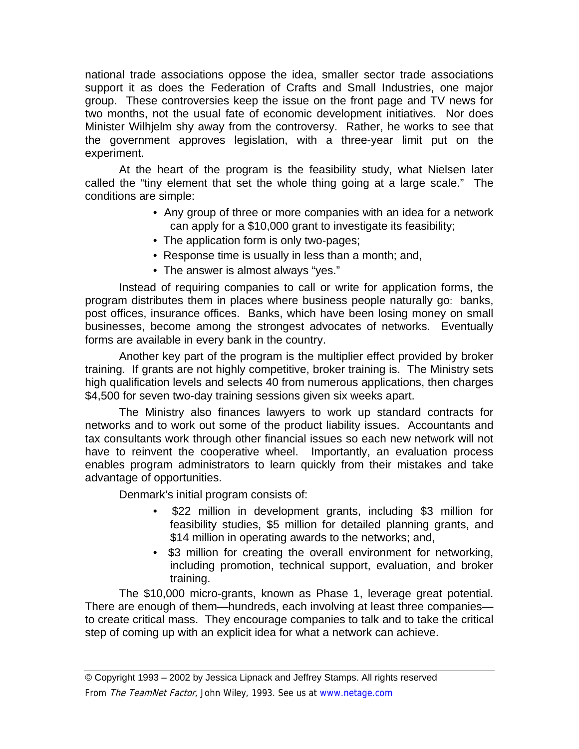national trade associations oppose the idea, smaller sector trade associations support it as does the Federation of Crafts and Small Industries, one major group. These controversies keep the issue on the front page and TV news for two months, not the usual fate of economic development initiatives. Nor does Minister Wilhjelm shy away from the controversy. Rather, he works to see that the government approves legislation, with a three-year limit put on the experiment.

At the heart of the program is the feasibility study, what Nielsen later called the "tiny element that set the whole thing going at a large scale." The conditions are simple:

- Any group of three or more companies with an idea for a network can apply for a \$10,000 grant to investigate its feasibility;
- The application form is only two-pages;
- Response time is usually in less than a month; and,
- The answer is almost always "yes."

Instead of requiring companies to call or write for application forms, the program distributes them in places where business people naturally go: banks, post offices, insurance offices. Banks, which have been losing money on small businesses, become among the strongest advocates of networks. Eventually forms are available in every bank in the country.

Another key part of the program is the multiplier effect provided by broker training. If grants are not highly competitive, broker training is. The Ministry sets high qualification levels and selects 40 from numerous applications, then charges \$4,500 for seven two-day training sessions given six weeks apart.

The Ministry also finances lawyers to work up standard contracts for networks and to work out some of the product liability issues. Accountants and tax consultants work through other financial issues so each new network will not have to reinvent the cooperative wheel. Importantly, an evaluation process enables program administrators to learn quickly from their mistakes and take advantage of opportunities.

Denmark's initial program consists of:

- \$22 million in development grants, including \$3 million for feasibility studies, \$5 million for detailed planning grants, and \$14 million in operating awards to the networks; and,
- \$3 million for creating the overall environment for networking, including promotion, technical support, evaluation, and broker training.

The \$10,000 micro-grants, known as Phase 1, leverage great potential. There are enough of them—hundreds, each involving at least three companies to create critical mass. They encourage companies to talk and to take the critical step of coming up with an explicit idea for what a network can achieve.

© Copyright 1993 – 2002 by Jessica Lipnack and Jeffrey Stamps. All rights reserved From The TeamNet Factor, John Wiley, 1993. See us at www.netage.com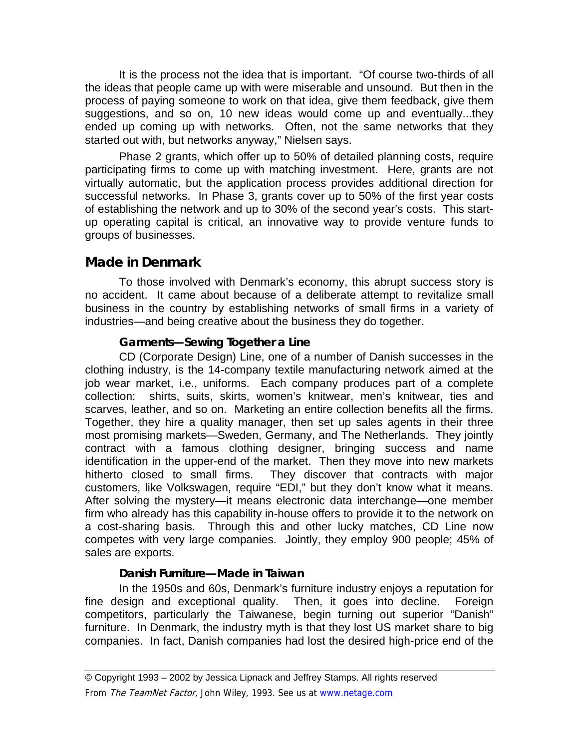It is the process not the idea that is important. "Of course two-thirds of all the ideas that people came up with were miserable and unsound. But then in the process of paying someone to work on that idea, give them feedback, give them suggestions, and so on, 10 new ideas would come up and eventually...they ended up coming up with networks. Often, not the same networks that they started out with, but networks anyway," Nielsen says.

Phase 2 grants, which offer up to 50% of detailed planning costs, require participating firms to come up with matching investment. Here, grants are not virtually automatic, but the application process provides additional direction for successful networks. In Phase 3, grants cover up to 50% of the first year costs of establishing the network and up to 30% of the second year's costs. This startup operating capital is critical, an innovative way to provide venture funds to groups of businesses.

# **Made in Denmark**

To those involved with Denmark's economy, this abrupt success story is no accident. It came about because of a deliberate attempt to revitalize small business in the country by establishing networks of small firms in a variety of industries—and being creative about the business they do together.

#### **Garments—Sewing Together a Line**

CD (Corporate Design) Line, one of a number of Danish successes in the clothing industry, is the 14-company textile manufacturing network aimed at the job wear market, i.e., uniforms. Each company produces part of a complete collection: shirts, suits, skirts, women's knitwear, men's knitwear, ties and scarves, leather, and so on. Marketing an entire collection benefits all the firms. Together, they hire a quality manager, then set up sales agents in their three most promising markets—Sweden, Germany, and The Netherlands. They jointly contract with a famous clothing designer, bringing success and name identification in the upper-end of the market. Then they move into new markets hitherto closed to small firms. They discover that contracts with major customers, like Volkswagen, require "EDI," but they don't know what it means. After solving the mystery—it means electronic data interchange—one member firm who already has this capability in-house offers to provide it to the network on a cost-sharing basis. Through this and other lucky matches, CD Line now competes with very large companies. Jointly, they employ 900 people; 45% of sales are exports.

## **Danish Furniture—Made in Taiwan**

In the 1950s and 60s, Denmark's furniture industry enjoys a reputation for fine design and exceptional quality. Then, it goes into decline. Foreign competitors, particularly the Taiwanese, begin turning out superior "Danish" furniture. In Denmark, the industry myth is that they lost US market share to big companies. In fact, Danish companies had lost the desired high-price end of the

<sup>©</sup> Copyright 1993 – 2002 by Jessica Lipnack and Jeffrey Stamps. All rights reserved From The TeamNet Factor, John Wiley, 1993. See us at www.netage.com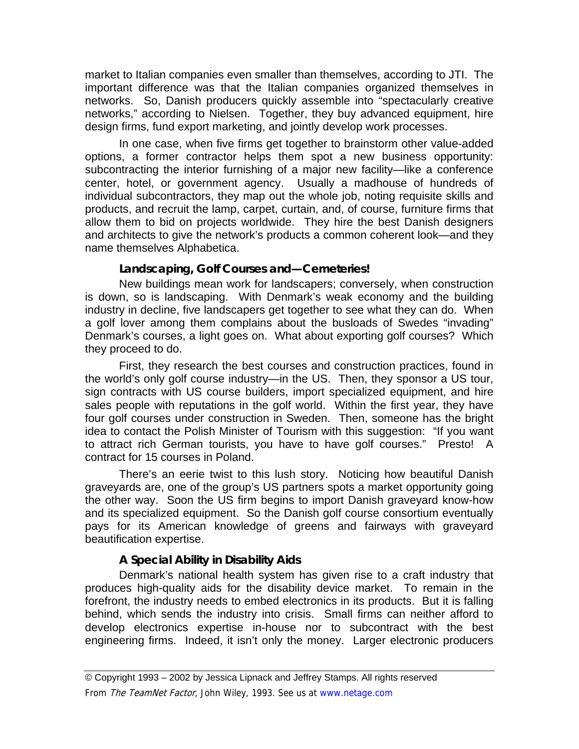market to Italian companies even smaller than themselves, according to JTI. The important difference was that the Italian companies organized themselves in networks. So, Danish producers quickly assemble into "spectacularly creative networks," according to Nielsen. Together, they buy advanced equipment, hire design firms, fund export marketing, and jointly develop work processes.

In one case, when five firms get together to brainstorm other value-added options, a former contractor helps them spot a new business opportunity: subcontracting the interior furnishing of a major new facility—like a conference center, hotel, or government agency. Usually a madhouse of hundreds of individual subcontractors, they map out the whole job, noting requisite skills and products, and recruit the lamp, carpet, curtain, and, of course, furniture firms that allow them to bid on projects worldwide. They hire the best Danish designers and architects to give the network's products a common coherent look—and they name themselves Alphabetica.

#### **Landscaping, Golf Courses and—Cemeteries!**

New buildings mean work for landscapers; conversely, when construction is down, so is landscaping. With Denmark's weak economy and the building industry in decline, five landscapers get together to see what they can do. When a golf lover among them complains about the busloads of Swedes "invading" Denmark's courses, a light goes on. What about exporting golf courses? Which they proceed to do.

First, they research the best courses and construction practices, found in the world's only golf course industry—in the US. Then, they sponsor a US tour, sign contracts with US course builders, import specialized equipment, and hire sales people with reputations in the golf world. Within the first year, they have four golf courses under construction in Sweden. Then, someone has the bright idea to contact the Polish Minister of Tourism with this suggestion: "If you want to attract rich German tourists, you have to have golf courses." Presto! A contract for 15 courses in Poland.

There's an eerie twist to this lush story. Noticing how beautiful Danish graveyards are, one of the group's US partners spots a market opportunity going the other way. Soon the US firm begins to import Danish graveyard know-how and its specialized equipment. So the Danish golf course consortium eventually pays for its American knowledge of greens and fairways with graveyard beautification expertise.

#### **A Special Ability in Disability Aids**

Denmark's national health system has given rise to a craft industry that produces high-quality aids for the disability device market. To remain in the forefront, the industry needs to embed electronics in its products. But it is falling behind, which sends the industry into crisis. Small firms can neither afford to develop electronics expertise in-house nor to subcontract with the best engineering firms. Indeed, it isn't only the money. Larger electronic producers

<sup>©</sup> Copyright 1993 – 2002 by Jessica Lipnack and Jeffrey Stamps. All rights reserved From The TeamNet Factor, John Wiley, 1993. See us at www.netage.com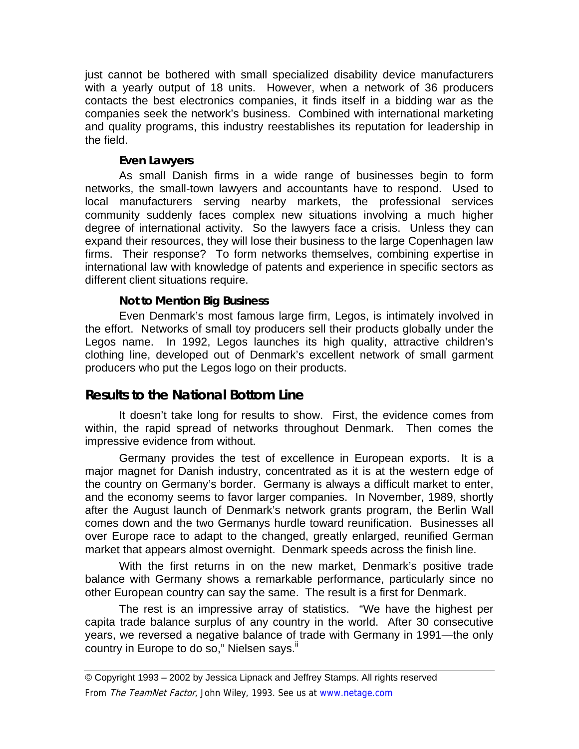just cannot be bothered with small specialized disability device manufacturers with a yearly output of 18 units. However, when a network of 36 producers contacts the best electronics companies, it finds itself in a bidding war as the companies seek the network's business. Combined with international marketing and quality programs, this industry reestablishes its reputation for leadership in the field.

#### **Even Lawyers**

As small Danish firms in a wide range of businesses begin to form networks, the small-town lawyers and accountants have to respond. Used to local manufacturers serving nearby markets, the professional services community suddenly faces complex new situations involving a much higher degree of international activity. So the lawyers face a crisis. Unless they can expand their resources, they will lose their business to the large Copenhagen law firms. Their response? To form networks themselves, combining expertise in international law with knowledge of patents and experience in specific sectors as different client situations require.

#### **Not to Mention Big Business**

Even Denmark's most famous large firm, Legos, is intimately involved in the effort. Networks of small toy producers sell their products globally under the Legos name. In 1992, Legos launches its high quality, attractive children's clothing line, developed out of Denmark's excellent network of small garment producers who put the Legos logo on their products.

## **Results to the National Bottom Line**

It doesn't take long for results to show. First, the evidence comes from within, the rapid spread of networks throughout Denmark. Then comes the impressive evidence from without.

Germany provides the test of excellence in European exports. It is a major magnet for Danish industry, concentrated as it is at the western edge of the country on Germany's border. Germany is always a difficult market to enter, and the economy seems to favor larger companies. In November, 1989, shortly after the August launch of Denmark's network grants program, the Berlin Wall comes down and the two Germanys hurdle toward reunification. Businesses all over Europe race to adapt to the changed, greatly enlarged, reunified German market that appears almost overnight. Denmark speeds across the finish line.

With the first returns in on the new market, Denmark's positive trade balance with Germany shows a remarkable performance, particularly since no other European country can say the same. The result is a first for Denmark.

The rest is an impressive array of statistics. "We have the highest per capita trade balance surplus of any country in the world. After 30 consecutive years, we reversed a negative balance of trade with Germany in 1991—the only country in Europe to do so," Nielsen says.<sup>ii</sup>

© Copyright 1993 – 2002 by Jessica Lipnack and Jeffrey Stamps. All rights reserved From The TeamNet Factor, John Wiley, 1993. See us at www.netage.com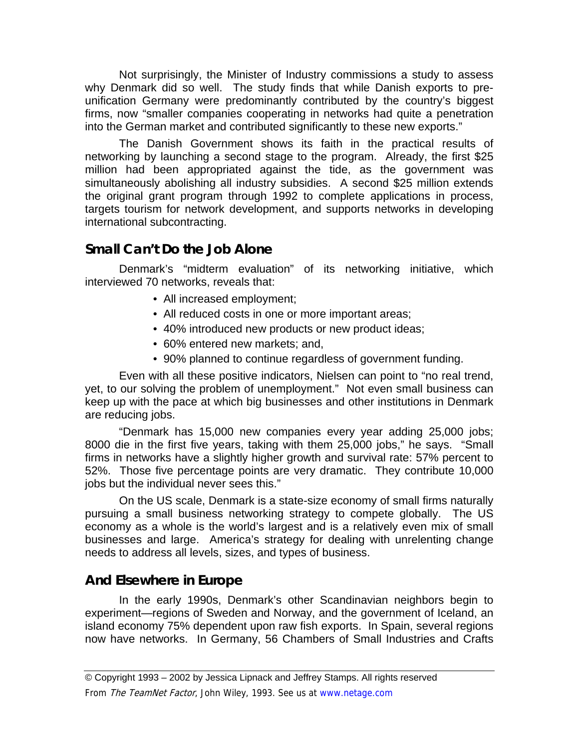Not surprisingly, the Minister of Industry commissions a study to assess why Denmark did so well. The study finds that while Danish exports to preunification Germany were predominantly contributed by the country's biggest firms, now "smaller companies cooperating in networks had quite a penetration into the German market and contributed significantly to these new exports."

The Danish Government shows its faith in the practical results of networking by launching a second stage to the program. Already, the first \$25 million had been appropriated against the tide, as the government was simultaneously abolishing all industry subsidies. A second \$25 million extends the original grant program through 1992 to complete applications in process, targets tourism for network development, and supports networks in developing international subcontracting.

# **Small Can't Do the Job Alone**

Denmark's "midterm evaluation" of its networking initiative, which interviewed 70 networks, reveals that:

- All increased employment;
- All reduced costs in one or more important areas;
- 40% introduced new products or new product ideas;
- 60% entered new markets; and,
- 90% planned to continue regardless of government funding.

Even with all these positive indicators, Nielsen can point to "no real trend, yet, to our solving the problem of unemployment." Not even small business can keep up with the pace at which big businesses and other institutions in Denmark are reducing jobs.

"Denmark has 15,000 new companies every year adding 25,000 jobs; 8000 die in the first five years, taking with them 25,000 jobs," he says. "Small firms in networks have a slightly higher growth and survival rate: 57% percent to 52%. Those five percentage points are very dramatic. They contribute 10,000 jobs but the individual never sees this."

On the US scale, Denmark is a state-size economy of small firms naturally pursuing a small business networking strategy to compete globally. The US economy as a whole is the world's largest and is a relatively even mix of small businesses and large. America's strategy for dealing with unrelenting change needs to address all levels, sizes, and types of business.

# **And Elsewhere in Europe**

In the early 1990s, Denmark's other Scandinavian neighbors begin to experiment—regions of Sweden and Norway, and the government of Iceland, an island economy 75% dependent upon raw fish exports. In Spain, several regions now have networks. In Germany, 56 Chambers of Small Industries and Crafts

© Copyright 1993 – 2002 by Jessica Lipnack and Jeffrey Stamps. All rights reserved

From The TeamNet Factor, John Wiley, 1993. See us at www.netage.com